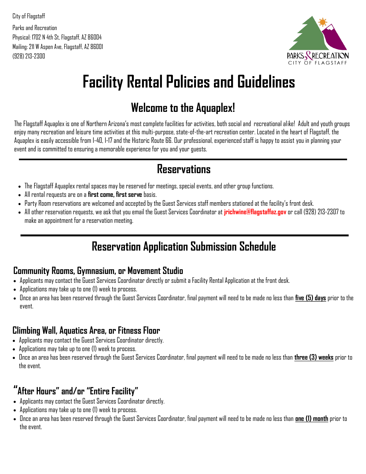City of Flagstaff Parks and Recreation Physical: 1702 N 4th St, Flagstaff, AZ 86004 Mailing: 211 W Aspen Ave, Flagstaff, AZ 86001 (928) 213-2300



# **Facility Rental Policies and Guidelines**

# **Welcome to the Aquaplex!**

The Flagstaff Aquaplex is one of Northern Arizona's most complete facilities for activities, both social and recreational alike! Adult and youth groups enjoy many recreation and leisure time activities at this multi-purpose, state-of-the-art recreation center. Located in the heart of Flagstaff, the Aquaplex is easily accessible from I-40, I-17 and the Historic Route 66. Our professional, experienced staff is happy to assist you in planning your event and is committed to ensuring a memorable experience for you and your guests.

### **Reservations**

- The Flagstaff Aquaplex rental spaces may be reserved for meetings, special events, and other group functions.
- All rental requests are on a **first come, first serve** basis.
- Party Room reservations are welcomed and accepted by the Guest Services staff members stationed at the facility's front desk.
- All other reservation requests, we ask that you email the Guest Services Coordinator at **jrichwine@flagstaffaz.gov** or call (928) 213-2307 to make an appointment for a reservation meeting.

# **Reservation Application Submission Schedule**

### **Community Rooms, Gymnasium, or Movement Studio**

- Applicants may contact the Guest Services Coordinator directly or submit a Facility Rental Application at the front desk.
- Applications may take up to one (1) week to process.
- Once an area has been reserved through the Guest Services Coordinator, final payment will need to be made no less than **five (5) days** prior to the event.

### **Climbing Wall, Aquatics Area, or Fitness Floor**

- Applicants may contact the Guest Services Coordinator directly.
- Applications may take up to one (1) week to process.
- Once an area has been reserved through the Guest Services Coordinator, final payment will need to be made no less than **three (3) weeks** prior to the event.

### **"After Hours" and/or "Entire Facility"**

- Applicants may contact the Guest Services Coordinator directly.
- Applications may take up to one (1) week to process.
- Once an area has been reserved through the Guest Services Coordinator, final payment will need to be made no less than **one (1) month** prior to the event.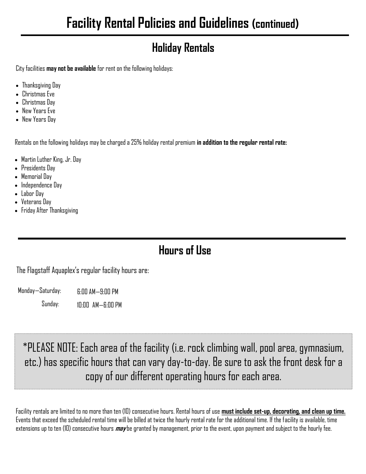# **Holiday Rentals**

City facilities **may not be available** for rent on the following holidays:

- Thanksgiving Day
- Christmas Eve
- Christmas Day
- New Years Eve
- New Years Day

Rentals on the following holidays may be charged a 25% holiday rental premium **in addition to the regular rental rate:**

- Martin Luther King, Jr. Day
- Presidents Day
- Memorial Day
- Independence Day
- Labor Day
- Veterans Day
- Friday After Thanksgiving

# **Hours of Use**

The Flagstaff Aquaplex's regular facility hours are:

Monday—Saturday: 6:00 AM—9:00 PM

> Sunday: 10:00 AM—6:00 PM

## \*PLEASE NOTE: Each area of the facility (i.e. rock climbing wall, pool area, gymnasium, etc.) has specific hours that can vary day-to-day. Be sure to ask the front desk for a copy of our different operating hours for each area.

Facility rentals are limited to no more than ten (10) consecutive hours. Rental hours of use **must include set-up, decorating, and clean up time.**  Events that exceed the scheduled rental time will be billed at twice the hourly rental rate for the additional time. If the facility is available, time extensions up to ten (10) consecutive hours **may** be granted by management, prior to the event, upon payment and subject to the hourly fee.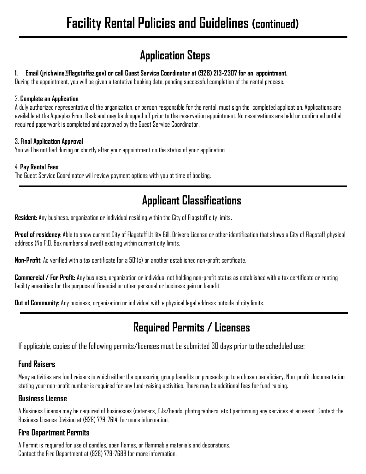## **Application Steps**

### **1. Email (jrichwine@flagstaffaz.gov) or call Guest Service Coordinator at (928) 213-2307 for an appointment.**

During the appointment, you will be given a tentative booking date, pending successful completion of the rental process.

### 2. **Complete an Application**

A duly authorized representative of the organization, or person responsible for the rental, must sign the completed application. Applications are available at the Aquaplex Front Desk and may be dropped off prior to the reservation appointment. No reservations are held or confirmed until all required paperwork is completed and approved by the Guest Service Coordinator.

### 3. **Final Application Approval**

You will be notified during or shortly after your appointment on the status of your application.

### 4. **Pay Rental Fees**

The Guest Service Coordinator will review payment options with you at time of booking.

### **Applicant Classifications**

**Resident:** Any business, organization or individual residing within the City of Flagstaff city limits.

**Proof of residency**: Able to show current City of Flagstaff Utility Bill, Drivers License or other identification that shows a City of Flagstaff physical address (No P.O. Box numbers allowed) existing within current city limits.

**Non-Profit:** As verified with a tax certificate for a 501(c) or another established non-profit certificate.

**Commercial / For Profit:** Any business, organization or individual not holding non-profit status as established with a tax certificate or renting facility amenities for the purpose of financial or other personal or business gain or benefit.

**Out of Community:** Any business, organization or individual with a physical legal address outside of city limits.

## **Required Permits / Licenses**

If applicable, copies of the following permits/licenses must be submitted 30 days prior to the scheduled use:

### **Fund Raisers**

Many activities are fund raisers in which either the sponsoring group benefits or proceeds go to a chosen beneficiary. Non-profit documentation stating your non-profit number is required for any fund-raising activities. There may be additional fees for fund raising.

### **Business License**

A Business License may be required of businesses (caterers, DJs/bands, photographers, etc.) performing any services at an event. Contact the Business License Division at (928) 779-7614, for more information.

### **Fire Department Permits**

A Permit is required for use of candles, open flames, or flammable materials and decorations. Contact the Fire Department at (928) 779-7688 for more information.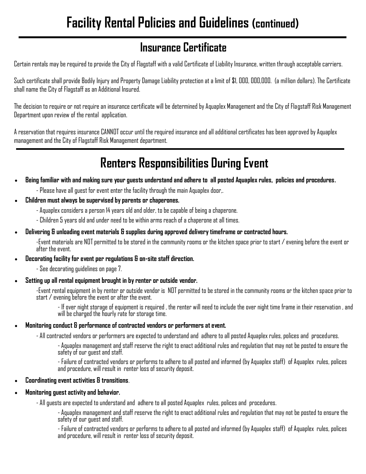## **Insurance Certificate**

Certain rentals may be required to provide the City of Flagstaff with a valid Certificate of Liability Insurance, written through acceptable carriers.

Such certificate shall provide Bodily Injury and Property Damage Liability protection at a limit of \$1, 000, 000,000. (a million dollars). The Certificate shall name the City of Flagstaff as an Additional Insured.

The decision to require or not require an insurance certificate will be determined by Aquaplex Management and the City of Flagstaff Risk Management Department upon review of the rental application.

A reservation that requires insurance CANNOT occur until the required insurance and all additional certificates has been approved by Aquaplex management and the City of Flagstaff Risk Management department.

# **Renters Responsibilities During Event**

- **Being familiar with and making sure your guests understand and adhere to all posted Aquaplex rules, policies and procedures.** 
	- Please have all guest for event enter the facility through the main Aquaplex door,.
- **Children must always be supervised by parents or chaperones.**
	- Aquaplex considers a person 14 years old and older, to be capable of being a chaperone.
	- Children 5 years old and under need to be within arms reach of a chaperone at all times.
- **Delivering & unloading event materials & supplies during approved delivery timeframe or contracted hours.**

-Event materials are NOT permitted to be stored in the community rooms or the kitchen space prior to start / evening before the event or after the event.

• **Decorating facility for event per regulations & on-site staff direction.** 

- See decorating guidelines on page 7.

• **Setting up all rental equipment brought in by renter or outside vendor.**

-Event rental equipment in by renter or outside vendor is NOT permitted to be stored in the community rooms or the kitchen space prior to start / evening before the event or after the event.

- If over night storage of equipment is required , the renter will need to include the over night time frame in their reservation , and will be charged the hourly rate for storage time.

### • **Monitoring conduct & performance of contracted vendors or performers at event.**

- All contracted vendors or performers are expected to understand and adhere to all posted Aquaplex rules, polices and procedures.

- Aquaplex management and staff reserve the right to enact additional rules and regulation that may not be posted to ensure the safety of our guest and staff.

- Failure of contracted vendors or performs to adhere to all posted and informed (by Aquaplex staff) of Aquaplex rules, polices and procedure, will result in renter loss of security deposit.

### • **Coordinating event activities & transitions**.

#### • **Monitoring guest activity and behavior.**

- All guests are expected to understand and adhere to all posted Aquaplex rules, polices and procedures.

- Aquaplex management and staff reserve the right to enact additional rules and regulation that may not be posted to ensure the safety of our guest and staff.

- Failure of contracted vendors or performs to adhere to all posted and informed (by Aquaplex staff) of Aquaplex rules, polices and procedure, will result in renter loss of security deposit.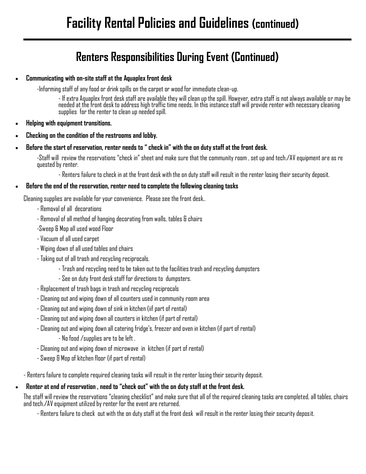## **Renters Responsibilities During Event (Continued)**

• **Communicating with on-site staff at the Aquaplex front desk**

-Informing staff of any food or drink spills on the carpet or wood for immediate clean-up.

- If extra Aquaplex front desk staff are available they will clean up the spill. However, extra staff is not always available or may be needed at the front desk to address high traffic time needs. In this instance staff will provide renter with necessary cleaning supplies for the renter to clean up needed spill.

- **Helping with equipment transitions.**
- **Checking on the condition of the restrooms and lobby.**
- **Before the start of reservation, renter needs to " check in" with the on duty staff at the front desk.**

-Staff will review the reservations "check in" sheet and make sure that the community room , set up and tech./AV equipment are as re quested by renter.

- Renters failure to check in at the front desk with the on duty staff will result in the renter losing their security deposit.

#### • **Before the end of the reservation, renter need to complete the following cleaning tasks**

Cleaning supplies are available for your convenience. Please see the front desk..

- Removal of all decorations
- Removal of all method of hanging decorating from walls, tables & chairs
- -Sweep & Mop all used wood Floor
- Vacuum of all used carpet
- Wiping down of all used tables and chairs
- Taking out of all trash and recycling reciprocals.
	- Trash and recycling need to be taken out to the facilities trash and recycling dumpsters
	- See on duty front desk staff for directions to dumpsters.
- Replacement of trash bags in trash and recycling reciprocals
- Cleaning out and wiping down of all counters used in community room area
- Cleaning out and wiping down of sink in kitchen (iif part of rental)
- Cleaning out and wiping down all counters in kitchen (if part of rental)
- Cleaning out and wiping down all catering fridge's, freezer and oven in kitchen (if part of rental)
	- No food /supplies are to be left .
- Cleaning out and wiping down of microwave in kitchen (if part of rental)
- Sweep & Mop of kitchen floor (if part of rental)

- Renters failure to complete required cleaning tasks will result in the renter losing their security deposit.

#### • **Renter at end of reservation , need to "check out" with the on duty staff at the front desk.**

The staff will review the reservations "cleaning checklist" and make sure that all of the required cleaning tasks are completed, all tables, chairs and tech./AV equipment utilized by renter for the event are returned.

- Renters failure to check out with the on duty staff at the front desk will result in the renter losing their security deposit.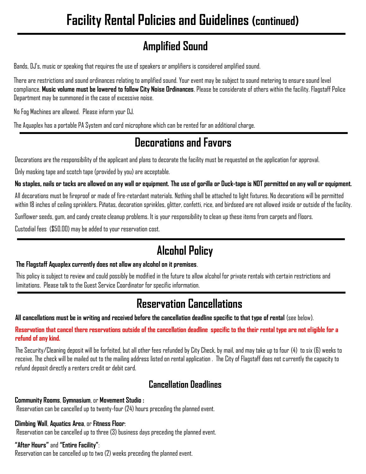# **Amplified Sound**

Bands, DJ's, music or speaking that requires the use of speakers or amplifiers is considered amplified sound.

There are restrictions and sound ordinances relating to amplified sound. Your event may be subject to sound metering to ensure sound level compliance. **Music volume must be lowered to follow City Noise Ordinances**. Please be considerate of others within the facility. Flagstaff Police Department may be summoned in the case of excessive noise.

No Fog Machines are allowed. Please inform your DJ.

The Aquaplex has a portable PA System and cord microphone which can be rented for an additional charge.

## **Decorations and Favors**

Decorations are the responsibility of the applicant and plans to decorate the facility must be requested on the application for approval.

Only masking tape and scotch tape (provided by you) are acceptable.

### **No staples, nails or tacks are allowed on any wall or equipment. The use of gorilla or Duck-tape is NOT permitted on any wall or equipment.**

All decorations must be fireproof or made of fire-retardant materials. Nothing shall be attached to light fixtures. No decorations will be permitted within 18 inches of ceiling sprinklers. Piñatas, decoration sprinkles, glitter, confetti, rice, and birdseed are not allowed inside or outside of the facility.

Sunflower seeds, gum, and candy create cleanup problems. It is your responsibility to clean up these items from carpets and floors.

Custodial fees (\$50.00) may be added to your reservation cost.

# **Alcohol Policy**

### **The Flagstaff Aquaplex currently does not allow any alcohol on it premises**.

This policy is subject to review and could possibly be modified in the future to allow alcohol for private rentals with certain restrictions and limitations. Please talk to the Guest Service Coordinator for specific information.

## **Reservation Cancellations**

All cancellations must be in writing and received before the cancellation deadline specific to that type of rental (see below).

**Reservation that cancel there reservations outside of the cancellation deadline specific to the their rental type are not eligible for a refund of any kind.** 

The Security/Cleaning deposit will be forfeited, but all other fees refunded by City Check, by mail, and may take up to four (4) to six (6) weeks to receive. The check will be mailed out to the mailing address listed on rental application . The City of Flagstaff does not currently the capacity to refund deposit directly a renters credit or debit card.

### **Cancellation Deadlines**

### **Community Rooms**, **Gymnasium**, or **Movement Studio :**

Reservation can be cancelled up to twenty-four (24) hours preceding the planned event.

### **Climbing Wall**, **Aquatics Area**, or **Fitness Floor**:

Reservation can be cancelled up to three (3) business days preceding the planned event.

### **"After Hours"** and **"Entire Facility"**:

Reservation can be cancelled up to two (2) weeks preceding the planned event.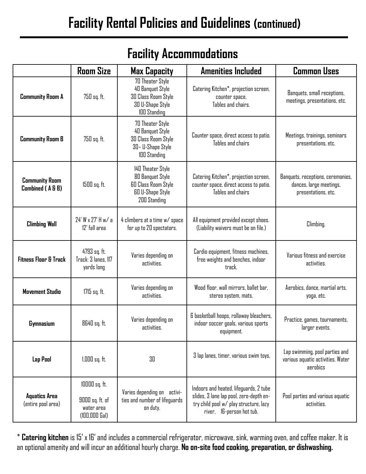|                                            | <b>Room Size</b>                                                  | <b>Max Capacity</b>                                                                                            | <b>Amenities Included</b>                                                                                                                                | <b>Common Uses</b>                                                                  |
|--------------------------------------------|-------------------------------------------------------------------|----------------------------------------------------------------------------------------------------------------|----------------------------------------------------------------------------------------------------------------------------------------------------------|-------------------------------------------------------------------------------------|
| <b>Community Room A</b>                    | 750 sq. ft.                                                       | 70 Theater Style<br>40 Banquet Style<br><b>30 Class Room Style</b><br>30 U-Shape Style<br>100 Standing         | Catering Kitchen*, projection screen,<br>counter space.<br>Tables and chairs.                                                                            | Banquets, small receptions,<br>meetings, presentations, etc.                        |
| <b>Community Room B</b>                    | 750 sq. ft.                                                       | 70 Theater Style<br>40 Banquet Style<br>30 Class Room Style<br>30- U-Shape Style<br>100 Standing               | Counter space, direct access to patio.<br>Tables and chairs                                                                                              | Meetings, trainings, seminars<br>presentations, etc.                                |
| <b>Community Room</b><br>Combined (A&B)    | 1500 sq. ft.                                                      | 140 Theater Style<br>80 Banquet Style<br><b>60 Class Room Style</b><br><b>60 U-Shape Style</b><br>200 Standing | Catering Kitchen*, projection screen,<br>counter space, direct access to patio.<br>Tables and chairs                                                     | Banquets, receptions, ceremonies,<br>dances, large meetings,<br>presentations, etc. |
| <b>Climbing Wall</b>                       | 24' W x 27' H w/ a<br>12' fall area                               | 4 climbers at a time w/ space<br>for up to 20 spectators.                                                      | All equipment provided except shoes.<br>(Liability waivers must be on file.)                                                                             | Climbing.                                                                           |
| <b>Fitness Floor &amp; Track</b>           | 4793 sq. ft.<br>Track: 3 lanes, 117<br>yards long                 | Varies depending on<br>activities.                                                                             | Cardio equipment, fitness machines,<br>free weights and benches, indoor<br>track.                                                                        | Various fitness and exercise<br>activities.                                         |
| <b>Movement Studio</b>                     | 1715 sq. ft.                                                      | Varies depending on<br>activities.                                                                             | Wood floor, wall mirrors, ballet bar,<br>stereo system, mats.                                                                                            | Aerobics, dance, martial arts,<br>yoga, etc.                                        |
| <b>Gymnasium</b>                           | 8640 sq. ft.                                                      | Varies depending on<br>activities.                                                                             | 6 basketball hoops, rollaway bleachers,<br>indoor soccer goals, various sports<br>equipment.                                                             | Practice, games, tournaments,<br>larger events.                                     |
| Lap Pool                                   | 1,000 sq. ft.                                                     | 30                                                                                                             | 3 lap lanes, timer, various swim toys,                                                                                                                   | Lap swimming, pool parties and<br>various aquatic activities. Water<br>aerobics     |
| <b>Aquatics Area</b><br>(entire pool area) | 10000 sq. ft.<br>9000 sq. ft. of<br>water area<br>$(100,000$ Gal) | Varies depending on activi-<br>ties and number of lifeguards<br>on duty.                                       | Indoors and heated, lifeguards, 2 tube<br>slides, 3 lane lap pool, zero-depth en-<br>try child pool w/ play structure, lazy<br>river, 16-person hot tub. | Pool parties and various aquatic<br>activities.                                     |

## **Facility Accommodations**

\* **Catering kitchen** is 15' x 16' and includes a commercial refrigerator, microwave, sink, warming oven, and coffee maker. It is an optional amenity and will incur an additional hourly charge. **No on-site food cooking, preparation, or dishwashing.**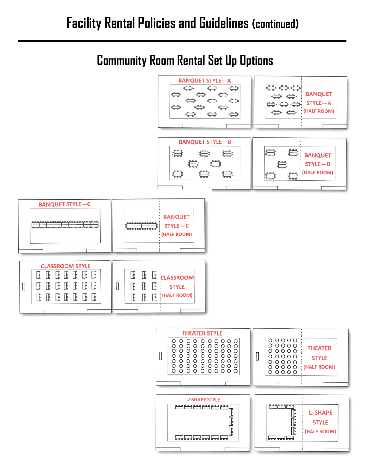# **Community Room Rental Set Up Options**

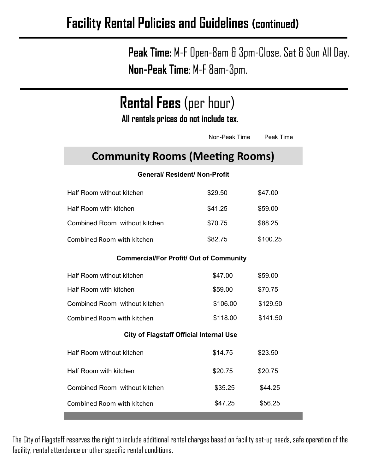**Peak Time:** M-F Open-8am & 3pm-Close. Sat & Sun All Day. **Non-Peak Time**: M-F 8am-3pm.

| <b>Rental Fees</b> (per hour)<br>All rentals prices do not include tax. |               |           |  |  |
|-------------------------------------------------------------------------|---------------|-----------|--|--|
|                                                                         | Non-Peak Time | Peak Time |  |  |
| <b>Community Rooms (Meeting Rooms)</b>                                  |               |           |  |  |
| <b>General/ Resident/ Non-Profit</b>                                    |               |           |  |  |
| Half Room without kitchen                                               | \$29.50       | \$47.00   |  |  |
| Half Room with kitchen                                                  | \$41.25       | \$59.00   |  |  |
| Combined Room without kitchen                                           | \$70.75       | \$88.25   |  |  |
| Combined Room with kitchen                                              | \$82.75       | \$100.25  |  |  |
| <b>Commercial/For Profit/ Out of Community</b>                          |               |           |  |  |
| Half Room without kitchen                                               | \$47.00       | \$59.00   |  |  |
| Half Room with kitchen                                                  | \$59.00       | \$70.75   |  |  |
| Combined Room without kitchen                                           | \$106.00      | \$129.50  |  |  |
| Combined Room with kitchen                                              | \$118.00      | \$141.50  |  |  |
| <b>City of Flagstaff Official Internal Use</b>                          |               |           |  |  |
| Half Room without kitchen                                               | \$14.75       | \$23.50   |  |  |
| Half Room with kitchen                                                  | \$20.75       | \$20.75   |  |  |
| Combined Room without kitchen                                           | \$35.25       | \$44.25   |  |  |
| Combined Room with kitchen                                              | \$47.25       | \$56.25   |  |  |

The City of Flagstaff reserves the right to include additional rental charges based on facility set-up needs, safe operation of the facility, rental attendance or other specific rental conditions.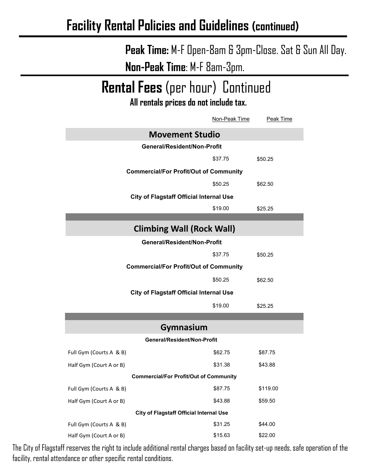# **Peak Time:** M-F Open-8am & 3pm-Close. Sat & Sun All Day. **Non-Peak Time**: M-F 8am-3pm.

# **Rental Fees** (per hour) Continued

**All rentals prices do not include tax.** 

|                                                | Non-Peak Time                                 | Peak Time |  |
|------------------------------------------------|-----------------------------------------------|-----------|--|
|                                                | <b>Movement Studio</b>                        |           |  |
| General/Resident/Non-Profit                    |                                               |           |  |
|                                                | \$37.75                                       | \$50.25   |  |
|                                                | <b>Commercial/For Profit/Out of Community</b> |           |  |
|                                                | \$50.25                                       | \$62.50   |  |
| <b>City of Flagstaff Official Internal Use</b> |                                               |           |  |
|                                                | \$19.00                                       | \$25.25   |  |
|                                                |                                               |           |  |
|                                                | <b>Climbing Wall (Rock Wall)</b>              |           |  |
| General/Resident/Non-Profit                    |                                               |           |  |
|                                                | \$37.75                                       | \$50.25   |  |
| <b>Commercial/For Profit/Out of Community</b>  |                                               |           |  |
|                                                | \$50.25                                       | \$62.50   |  |
| <b>City of Flagstaff Official Internal Use</b> |                                               |           |  |
|                                                | \$19.00                                       | \$25.25   |  |
|                                                |                                               |           |  |
|                                                | Gymnasium                                     |           |  |
| General/Resident/Non-Profit                    |                                               |           |  |
| Full Gym (Courts A & B)                        | \$62.75                                       | \$87.75   |  |
| Half Gym (Court A or B)                        | \$31.38                                       | \$43.88   |  |
|                                                | <b>Commercial/For Profit/Out of Community</b> |           |  |
| Full Gym (Courts A & B)                        | \$87.75                                       | \$119.00  |  |
| Half Gym (Court A or B)                        | \$43.88                                       | \$59.50   |  |
| <b>City of Flagstaff Official Internal Use</b> |                                               |           |  |
| Full Gym (Courts A & B)                        | \$31.25                                       | \$44.00   |  |
| Half Gym (Court A or B)                        | \$15.63                                       | \$22.00   |  |

The City of Flagstaff reserves the right to include additional rental charges based on facility set-up needs, safe operation of the facility, rental attendance or other specific rental conditions.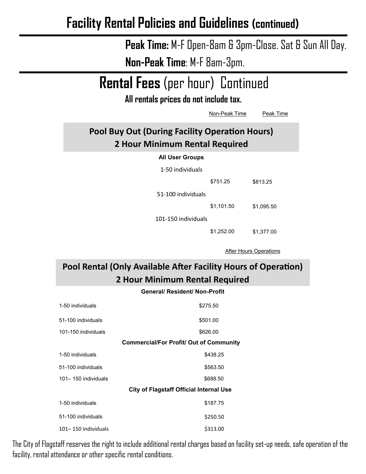**Peak Time:** M-F Open-8am & 3pm-Close. Sat & Sun All Day. **Non-Peak Time**: M-F 8am-3pm.

**Rental Fees** (per hour) Continued

**All rentals prices do not include tax.** 

|                                                                                  | Non-Peak Time | Peak Time  |
|----------------------------------------------------------------------------------|---------------|------------|
| Pool Buy Out (During Facility Operation Hours)<br>2 Hour Minimum Rental Required |               |            |
| <b>All User Groups</b>                                                           |               |            |
| 1-50 individuals                                                                 |               |            |
|                                                                                  | \$751.25      | \$813.25   |
| 51-100 individuals                                                               |               |            |
|                                                                                  | \$1,101.50    | \$1,095.50 |
| 101-150 individuals                                                              |               |            |
|                                                                                  | \$1,252.00    | \$1,377.00 |

After Hours Operations

**Pool Rental (Only Available After Facility Hours of Operation) 2 Hour Minimum Rental Required**

#### **General/ Resident/ Non-Profit**

| 1-50 individuals    | \$275.50                                       |
|---------------------|------------------------------------------------|
| 51-100 individuals  | \$501.00                                       |
| 101-150 individuals | \$626.00                                       |
|                     | <b>Commercial/For Profit/ Out of Community</b> |
| 1-50 individuals    | \$438.25                                       |
| 51-100 individuals  | \$563.50                                       |
| 101–150 individuals | \$688.50                                       |
|                     | <b>City of Flagstaff Official Internal Use</b> |
| 1-50 individuals    | \$187.75                                       |
| 51-100 individuals  | \$250.50                                       |
| 101-150 individuals | \$313.00                                       |

The City of Flagstaff reserves the right to include additional rental charges based on facility set-up needs, safe operation of the facility, rental attendance or other specific rental conditions.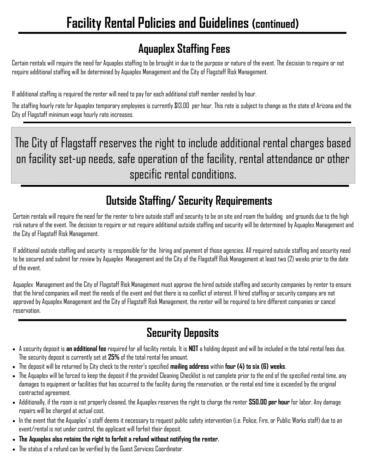# **Aquaplex Staffing Fees**

Certain rentals will require the need for Aquaplex staffing to be brought in due to the purpose or nature of the event. The decision to require or not require additional staffing will be determined by Aquaplex Management and the City of Flagstaff Risk Management.

If additional staffing is required the renter will need to pay for each additional staff member needed by hour.

The staffing hourly rate for Aquaplex temporary employees is currently \$13.00 per hour. This rate is subject to change as the state of Arizona and the City of Flagstaff minimum wage hourly rate increases.

The City of Flagstaff reserves the right to include additional rental charges based on facility set-up needs, safe operation of the facility, rental attendance or other specific rental conditions.

# **Outside Staffing/ Security Requirements**

Certain rentals will require the need for the renter to hire outside staff and security to be on site and roam the building and grounds due to the high risk nature of the event. The decision to require or not require additional outside staffing and security will be determined by Aquaplex Management and the City of Flagstaff Risk Management.

If additional outside staffing and security is responsible for the hiring and payment of those agencies. All required outside staffing and security need to be secured and submit for review by Aquaplex Management and the City of the Flagstaff Risk Management at least two (2) weeks prior to the date of the event.

Aquaplex Management and the City of Flagstaff Risk Management must approve the hired outside staffing and security companies by renter to ensure that the hired companies will meet the needs of the event and that there is no conflict of interest. If hired staffing or security company are not approved by Aquaplex Management and the City of Flagstaff Risk Management, the renter will be required to hire different companies or cancel reservation.

# **Security Deposits**

- A security deposit is **an additional fee** required for all facility rentals. It is **NOT** a holding deposit and will be included in the total rental fees due. The security deposit is currently set at **25%** of the total rental fee amount.
- The deposit will be returned by City check to the renter's specified **mailing address** within **four (4) to six (6) weeks**.
- The Aquaplex will be forced to keep the deposit if the provided Cleaning Checklist is not complete prior to the end of the specified rental time, any damages to equipment or facilities that has occurred to the facility during the reservation, or the rental end time is exceeded by the original contracted agreement.
- Additionally, if the room is not properly cleaned, the Aquaplex reserves the right to charge the renter **\$50.00 per hour** for labor. Any damage repairs will be charged at actual cost.
- In the event that the Aquaplex' s staff deems it necessary to request public safety intervention (i.e. Police, Fire, or Public Works staff) due to an event/rental is not under control, the applicant will forfeit their deposit.
- **The Aquaplex also retains the right to forfeit a refund without notifying the renter.**
- The status of a refund can be verified by the Guest Services Coordinator.